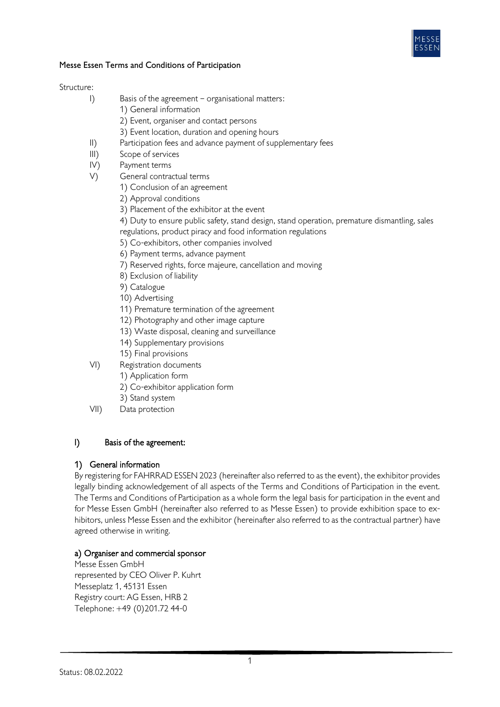

### Messe Essen Terms and Conditions of Participation

#### Structure:

- I) Basis of the agreement organisational matters:
	- 1) General information
		- 2) Event, organiser and contact persons
	- 3) Event location, duration and opening hours
- II) Participation fees and advance payment of supplementary fees
- III) Scope of services
- IV) Payment terms
- V) General contractual terms
	- 1) Conclusion of an agreement
	- 2) Approval conditions
	- 3) Placement of the exhibitor at the event
	- 4) Duty to ensure public safety, stand design, stand operation, premature dismantling, sales regulations, product piracy and food information regulations
	- 5) Co-exhibitors, other companies involved
	- 6) Payment terms, advance payment
	- 7) Reserved rights, force majeure, cancellation and moving
	- 8) Exclusion of liability
	- 9) Catalogue
	- 10) Advertising
	- 11) Premature termination of the agreement
	- 12) Photography and other image capture
	- 13) Waste disposal, cleaning and surveillance
	- 14) Supplementary provisions
	- 15) Final provisions
- VI) Registration documents
	- 1) Application form
	- 2) Co-exhibitor application form
	- 3) Stand system
- VII) Data protection

## I) Basis of the agreement:

## 1) General information

By registering for FAHRRAD ESSEN 2023 (hereinafter also referred to as the event), the exhibitor provides legally binding acknowledgement of all aspects of the Terms and Conditions of Participation in the event. The Terms and Conditions of Participation as a whole form the legal basis for participation in the event and for Messe Essen GmbH (hereinafter also referred to as Messe Essen) to provide exhibition space to exhibitors, unless Messe Essen and the exhibitor (hereinafter also referred to as the contractual partner) have agreed otherwise in writing.

## a) Organiser and commercial sponsor

Messe Essen GmbH represented by CEO Oliver P. Kuhrt Messeplatz 1, 45131 Essen Registry court: AG Essen, HRB 2 Telephone: +49 (0)201.72 44-0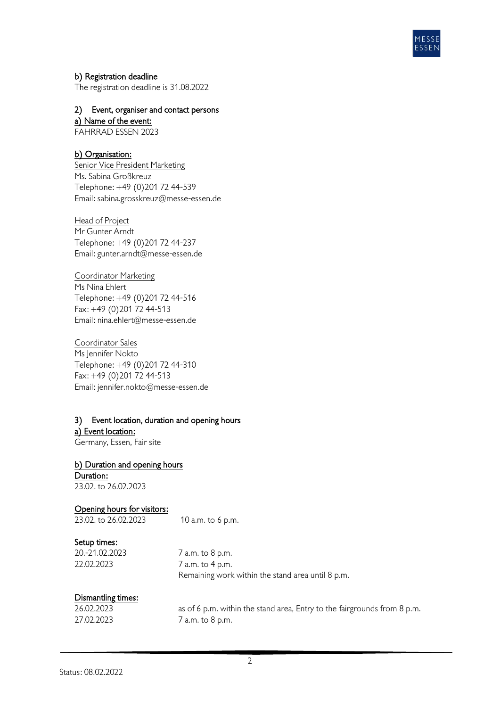

## b) Registration deadline

The registration deadline is 31.08.2022

# 2) Event, organiser and contact persons

a) Name of the event:

FAHRRAD ESSEN 2023

## b) Organisation:

Senior Vice President Marketing Ms. Sabina Großkreuz Telephone: +49 (0)201 72 44-539 Email: sabina.grosskreuz@messe-essen.de

#### Head of Project

Mr Gunter Arndt Telephone: +49 (0)201 72 44-237 Email: gunter.arndt@messe-essen.de

Coordinator Marketing Ms Nina Ehlert Telephone: +49 (0)201 72 44-516 Fax: +49 (0)201 72 44-513 Email: nina.ehlert@messe-essen.de

Coordinator Sales Ms Jennifer Nokto Telephone: +49 (0)201 72 44-310 Fax: +49 (0)201 72 44-513 Email: jennifer.nokto@messe-essen.de

## 3) Event location, duration and opening hours a) Event location:

Germany, Essen, Fair site

b) Duration and opening hours Duration: 23.02. to 26.02.2023

## Opening hours for visitors:

23.02. to 26.02.2023 10 a.m. to 6 p.m.

#### Setup times:

20.-21.02.2023 7 a.m. to 8 p.m. 22.02.2023 7 a.m. to 4 p.m. Remaining work within the stand area until 8 p.m.

## Dismantling times:

| 26.02.2023 | as of 6 p.m. within the stand area, Entry to the fairgrounds from 8 p.m. |
|------------|--------------------------------------------------------------------------|
| 27.02.2023 | 7 a.m. to 8 p.m.                                                         |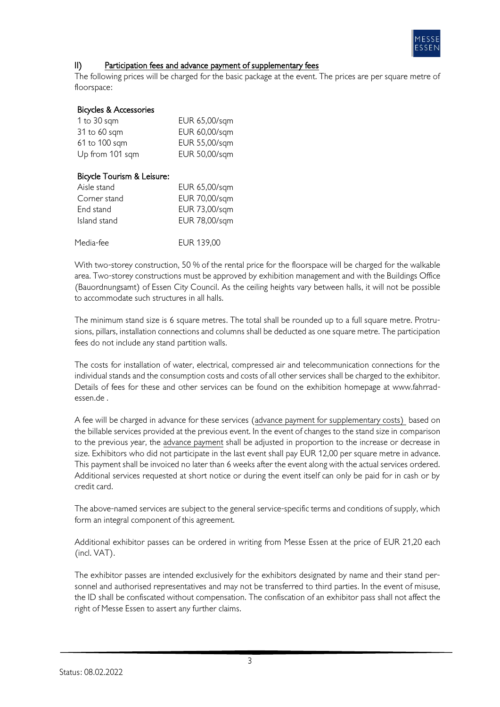

## II) Participation fees and advance payment of supplementary fees

The following prices will be charged for the basic package at the event. The prices are per square metre of floorspace:

#### Bicycles & Accessories

| 1 to $30$ sqm   | EUR 65,00/sqm |
|-----------------|---------------|
| 31 to 60 sqm    | EUR 60,00/sqm |
| 61 to 100 sqm   | EUR 55,00/sqm |
| Up from 101 sqm | EUR 50,00/sqm |

## Bicycle Tourism & Leisure:

| Aisle stand  | EUR 65,00/sqm |
|--------------|---------------|
| Corner stand | EUR 70,00/sqm |
| End stand    | EUR 73,00/sqm |
| Island stand | EUR 78,00/sqm |
|              |               |
| Media-fee    | FUR 139.00    |

With two-storey construction, 50 % of the rental price for the floorspace will be charged for the walkable area. Two-storey constructions must be approved by exhibition management and with the Buildings Office (Bauordnungsamt) of Essen City Council. As the ceiling heights vary between halls, it will not be possible to accommodate such structures in all halls.

The minimum stand size is 6 square metres. The total shall be rounded up to a full square metre. Protrusions, pillars, installation connections and columns shall be deducted as one square metre. The participation fees do not include any stand partition walls.

The costs for installation of water, electrical, compressed air and telecommunication connections for the individual stands and the consumption costs and costs of all other services shall be charged to the exhibitor. Details of fees for these and other services can be found on the exhibition homepage at www.fahrradessen.de .

A fee will be charged in advance for these services (advance payment for supplementary costs) based on the billable services provided at the previous event. In the event of changes to the stand size in comparison to the previous year, the advance payment shall be adjusted in proportion to the increase or decrease in size. Exhibitors who did not participate in the last event shall pay EUR 12,00 per square metre in advance. This payment shall be invoiced no later than 6 weeks after the event along with the actual services ordered. Additional services requested at short notice or during the event itself can only be paid for in cash or by credit card.

The above-named services are subject to the general service-specific terms and conditions of supply, which form an integral component of this agreement.

Additional exhibitor passes can be ordered in writing from Messe Essen at the price of EUR 21,20 each (incl. VAT).

The exhibitor passes are intended exclusively for the exhibitors designated by name and their stand personnel and authorised representatives and may not be transferred to third parties. In the event of misuse, the ID shall be confiscated without compensation. The confiscation of an exhibitor pass shall not affect the right of Messe Essen to assert any further claims.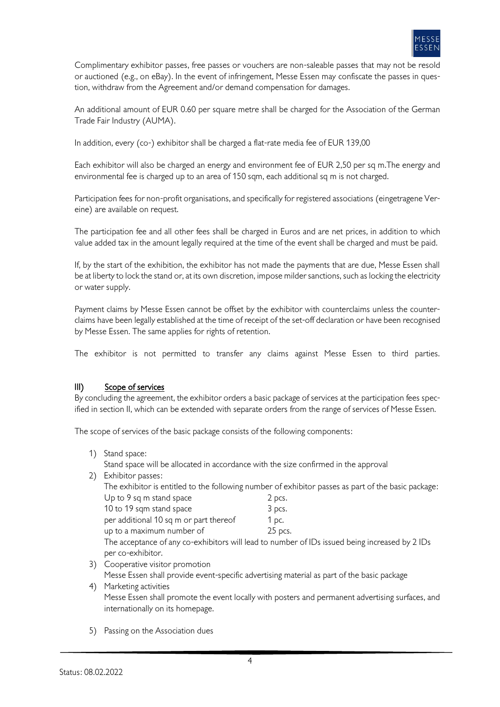

Complimentary exhibitor passes, free passes or vouchers are non-saleable passes that may not be resold or auctioned (e.g., on eBay). In the event of infringement, Messe Essen may confiscate the passes in question, withdraw from the Agreement and/or demand compensation for damages.

An additional amount of EUR 0.60 per square metre shall be charged for the Association of the German Trade Fair Industry (AUMA).

In addition, every (co-) exhibitor shall be charged a flat-rate media fee of EUR 139,00

Each exhibitor will also be charged an energy and environment fee of EUR 2,50 per sq m.The energy and environmental fee is charged up to an area of 150 sqm, each additional sq m is not charged.

Participation fees for non-profit organisations, and specifically for registered associations (eingetragene Vereine) are available on request.

The participation fee and all other fees shall be charged in Euros and are net prices, in addition to which value added tax in the amount legally required at the time of the event shall be charged and must be paid.

If, by the start of the exhibition, the exhibitor has not made the payments that are due, Messe Essen shall be at liberty to lock the stand or, at its own discretion, impose milder sanctions, such as locking the electricity or water supply.

Payment claims by Messe Essen cannot be offset by the exhibitor with counterclaims unless the counterclaims have been legally established at the time of receipt of the set-off declaration or have been recognised by Messe Essen. The same applies for rights of retention.

The exhibitor is not permitted to transfer any claims against Messe Essen to third parties.

## III) Scope of services

By concluding the agreement, the exhibitor orders a basic package of services at the participation fees specified in section II, which can be extended with separate orders from the range of services of Messe Essen.

The scope of services of the basic package consists of the following components:

1) Stand space:

Stand space will be allocated in accordance with the size confirmed in the approval

2) Exhibitor passes:

The exhibitor is entitled to the following number of exhibitor passes as part of the basic package: Up to 9 sq m stand space 2 pcs.

| 10 to 19 sqm stand space               | 3 pcs.  |
|----------------------------------------|---------|
| per additional 10 sq m or part thereof | 1 pc.   |
| up to a maximum number of              | 25 pcs. |

The acceptance of any co-exhibitors will lead to number of IDs issued being increased by 2 IDs per co-exhibitor.

3) Cooperative visitor promotion

Messe Essen shall provide event-specific advertising material as part of the basic package

- 4) Marketing activities Messe Essen shall promote the event locally with posters and permanent advertising surfaces, and internationally on its homepage.
- 5) Passing on the Association dues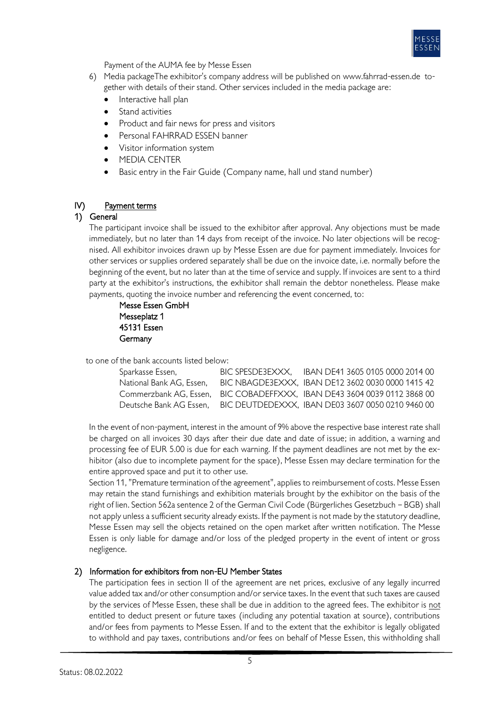

Payment of the AUMA fee by Messe Essen

- 6) Media packageThe exhibitor's company address will be published on www.fahrrad-essen.de together with details of their stand. Other services included in the media package are:
	- Interactive hall plan
	- Stand activities
	- Product and fair news for press and visitors
	- Personal FAHRRAD ESSEN banner
	- Visitor information system
	- **MEDIA CENTER**
	- Basic entry in the Fair Guide (Company name, hall und stand number)

## IV) Payment terms

## 1) General

The participant invoice shall be issued to the exhibitor after approval. Any objections must be made immediately, but no later than 14 days from receipt of the invoice. No later objections will be recognised. All exhibitor invoices drawn up by Messe Essen are due for payment immediately. Invoices for other services or supplies ordered separately shall be due on the invoice date, i.e. normally before the beginning of the event, but no later than at the time of service and supply. If invoices are sent to a third party at the exhibitor's instructions, the exhibitor shall remain the debtor nonetheless. Please make payments, quoting the invoice number and referencing the event concerned, to:

Messe Essen GmbH Messeplatz 1 45131 Essen **Germany** 

to one of the bank accounts listed below:

| Sparkasse Essen,         | BIC SPESDE3EXXX. | IBAN DE41 3605 0105 0000 2014 00                                         |
|--------------------------|------------------|--------------------------------------------------------------------------|
| National Bank AG, Essen, |                  | BIC NBAGDE3EXXX, IBAN DE12 3602 0030 0000 1415 42                        |
|                          |                  | Commerzbank AG, Essen, BIC COBADEFFXXX, IBAN DE43 3604 0039 0112 3868 00 |
| Deutsche Bank AG Essen.  |                  | BIC DEUTDEDEXXX, IBAN DE03 3607 0050 0210 9460 00                        |

In the event of non-payment, interest in the amount of 9% above the respective base interest rate shall be charged on all invoices 30 days after their due date and date of issue; in addition, a warning and processing fee of EUR 5.00 is due for each warning. If the payment deadlines are not met by the exhibitor (also due to incomplete payment for the space), Messe Essen may declare termination for the entire approved space and put it to other use.

Section 11, "Premature termination of the agreement", applies to reimbursement of costs. Messe Essen may retain the stand furnishings and exhibition materials brought by the exhibitor on the basis of the right of lien. Section 562a sentence 2 of the German Civil Code (Bürgerliches Gesetzbuch – BGB) shall not apply unless a sufficient security already exists. If the payment is not made by the statutory deadline, Messe Essen may sell the objects retained on the open market after written notification. The Messe Essen is only liable for damage and/or loss of the pledged property in the event of intent or gross negligence.

## 2) Information for exhibitors from non-EU Member States

The participation fees in section II of the agreement are net prices, exclusive of any legally incurred value added tax and/or other consumption and/or service taxes. In the event that such taxes are caused by the services of Messe Essen, these shall be due in addition to the agreed fees. The exhibitor is not entitled to deduct present or future taxes (including any potential taxation at source), contributions and/or fees from payments to Messe Essen. If and to the extent that the exhibitor is legally obligated to withhold and pay taxes, contributions and/or fees on behalf of Messe Essen, this withholding shall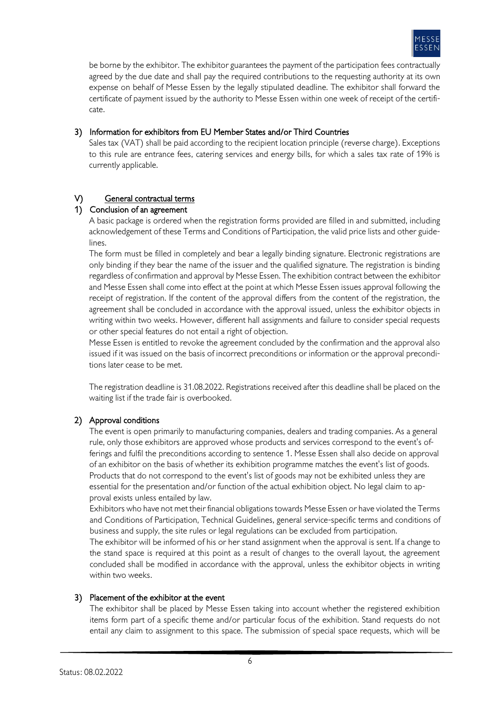

be borne by the exhibitor. The exhibitor guarantees the payment of the participation fees contractually agreed by the due date and shall pay the required contributions to the requesting authority at its own expense on behalf of Messe Essen by the legally stipulated deadline. The exhibitor shall forward the certificate of payment issued by the authority to Messe Essen within one week of receipt of the certificate.

## 3) Information for exhibitors from EU Member States and/or Third Countries

Sales tax (VAT) shall be paid according to the recipient location principle (reverse charge). Exceptions to this rule are entrance fees, catering services and energy bills, for which a sales tax rate of 19% is currently applicable.

## V) General contractual terms

## 1) Conclusion of an agreement

A basic package is ordered when the registration forms provided are filled in and submitted, including acknowledgement of these Terms and Conditions of Participation, the valid price lists and other guidelines.

The form must be filled in completely and bear a legally binding signature. Electronic registrations are only binding if they bear the name of the issuer and the qualified signature. The registration is binding regardless of confirmation and approval by Messe Essen. The exhibition contract between the exhibitor and Messe Essen shall come into effect at the point at which Messe Essen issues approval following the receipt of registration. If the content of the approval differs from the content of the registration, the agreement shall be concluded in accordance with the approval issued, unless the exhibitor objects in writing within two weeks. However, different hall assignments and failure to consider special requests or other special features do not entail a right of objection.

Messe Essen is entitled to revoke the agreement concluded by the confirmation and the approval also issued if it was issued on the basis of incorrect preconditions or information or the approval preconditions later cease to be met.

The registration deadline is 31.08.2022. Registrations received after this deadline shall be placed on the waiting list if the trade fair is overbooked.

## 2) Approval conditions

The event is open primarily to manufacturing companies, dealers and trading companies. As a general rule, only those exhibitors are approved whose products and services correspond to the event's offerings and fulfil the preconditions according to sentence 1. Messe Essen shall also decide on approval of an exhibitor on the basis of whether its exhibition programme matches the event's list of goods. Products that do not correspond to the event's list of goods may not be exhibited unless they are essential for the presentation and/or function of the actual exhibition object. No legal claim to approval exists unless entailed by law.

Exhibitors who have not met their financial obligations towards Messe Essen or have violated the Terms and Conditions of Participation, Technical Guidelines, general service-specific terms and conditions of business and supply, the site rules or legal regulations can be excluded from participation.

The exhibitor will be informed of his or her stand assignment when the approval is sent. If a change to the stand space is required at this point as a result of changes to the overall layout, the agreement concluded shall be modified in accordance with the approval, unless the exhibitor objects in writing within two weeks.

## 3) Placement of the exhibitor at the event

The exhibitor shall be placed by Messe Essen taking into account whether the registered exhibition items form part of a specific theme and/or particular focus of the exhibition. Stand requests do not entail any claim to assignment to this space. The submission of special space requests, which will be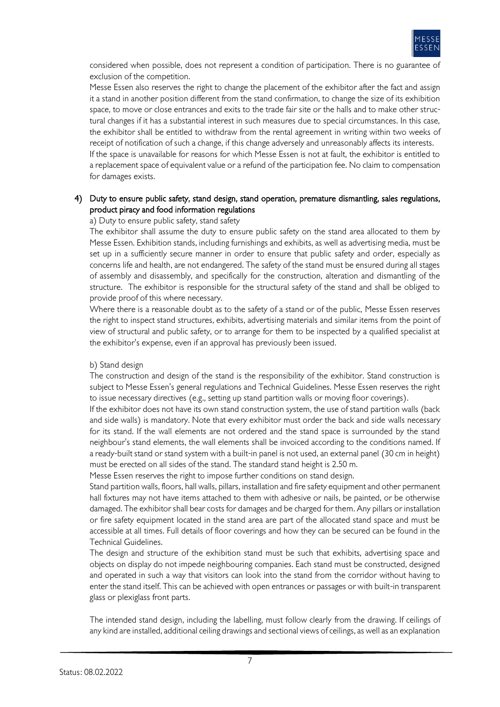

considered when possible, does not represent a condition of participation. There is no guarantee of exclusion of the competition.

Messe Essen also reserves the right to change the placement of the exhibitor after the fact and assign it a stand in another position different from the stand confirmation, to change the size of its exhibition space, to move or close entrances and exits to the trade fair site or the halls and to make other structural changes if it has a substantial interest in such measures due to special circumstances. In this case, the exhibitor shall be entitled to withdraw from the rental agreement in writing within two weeks of receipt of notification of such a change, if this change adversely and unreasonably affects its interests. If the space is unavailable for reasons for which Messe Essen is not at fault, the exhibitor is entitled to a replacement space of equivalent value or a refund of the participation fee. No claim to compensation for damages exists.

## 4) Duty to ensure public safety, stand design, stand operation, premature dismantling, sales regulations, product piracy and food information regulations

#### a) Duty to ensure public safety, stand safety

The exhibitor shall assume the duty to ensure public safety on the stand area allocated to them by Messe Essen. Exhibition stands, including furnishings and exhibits, as well as advertising media, must be set up in a sufficiently secure manner in order to ensure that public safety and order, especially as concerns life and health, are not endangered. The safety of the stand must be ensured during all stages of assembly and disassembly, and specifically for the construction, alteration and dismantling of the structure. The exhibitor is responsible for the structural safety of the stand and shall be obliged to provide proof of this where necessary.

Where there is a reasonable doubt as to the safety of a stand or of the public, Messe Essen reserves the right to inspect stand structures, exhibits, advertising materials and similar items from the point of view of structural and public safety, or to arrange for them to be inspected by a qualified specialist at the exhibitor's expense, even if an approval has previously been issued.

#### b) Stand design

The construction and design of the stand is the responsibility of the exhibitor. Stand construction is subject to Messe Essen's general regulations and Technical Guidelines. Messe Essen reserves the right to issue necessary directives (e.g., setting up stand partition walls or moving floor coverings).

If the exhibitor does not have its own stand construction system, the use of stand partition walls (back and side walls) is mandatory. Note that every exhibitor must order the back and side walls necessary for its stand. If the wall elements are not ordered and the stand space is surrounded by the stand neighbour's stand elements, the wall elements shall be invoiced according to the conditions named. If a ready-built stand or stand system with a built-in panel is not used, an external panel (30 cm in height) must be erected on all sides of the stand. The standard stand height is 2.50 m.

Messe Essen reserves the right to impose further conditions on stand design.

Stand partition walls, floors, hall walls, pillars, installation and fire safety equipment and other permanent hall fixtures may not have items attached to them with adhesive or nails, be painted, or be otherwise damaged. The exhibitor shall bear costs for damages and be charged for them. Any pillars or installation or fire safety equipment located in the stand area are part of the allocated stand space and must be accessible at all times. Full details of floor coverings and how they can be secured can be found in the Technical Guidelines.

The design and structure of the exhibition stand must be such that exhibits, advertising space and objects on display do not impede neighbouring companies. Each stand must be constructed, designed and operated in such a way that visitors can look into the stand from the corridor without having to enter the stand itself. This can be achieved with open entrances or passages or with built-in transparent glass or plexiglass front parts.

The intended stand design, including the labelling, must follow clearly from the drawing. If ceilings of any kind are installed, additional ceiling drawings and sectional views of ceilings, as well as an explanation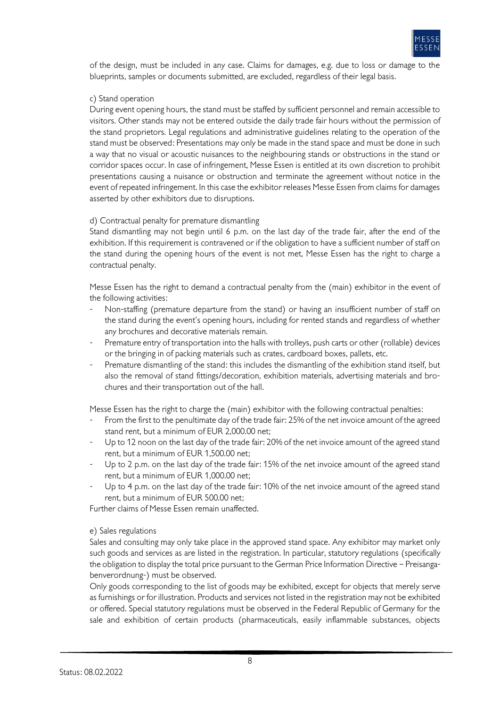

of the design, must be included in any case. Claims for damages, e.g. due to loss or damage to the blueprints, samples or documents submitted, are excluded, regardless of their legal basis.

#### c) Stand operation

During event opening hours, the stand must be staffed by sufficient personnel and remain accessible to visitors. Other stands may not be entered outside the daily trade fair hours without the permission of the stand proprietors. Legal regulations and administrative guidelines relating to the operation of the stand must be observed: Presentations may only be made in the stand space and must be done in such a way that no visual or acoustic nuisances to the neighbouring stands or obstructions in the stand or corridor spaces occur. In case of infringement, Messe Essen is entitled at its own discretion to prohibit presentations causing a nuisance or obstruction and terminate the agreement without notice in the event of repeated infringement. In this case the exhibitor releases Messe Essen from claims for damages asserted by other exhibitors due to disruptions.

#### d) Contractual penalty for premature dismantling

Stand dismantling may not begin until 6 p.m. on the last day of the trade fair, after the end of the exhibition. If this requirement is contravened or if the obligation to have a sufficient number of staff on the stand during the opening hours of the event is not met, Messe Essen has the right to charge a contractual penalty.

Messe Essen has the right to demand a contractual penalty from the (main) exhibitor in the event of the following activities:

- Non-staffing (premature departure from the stand) or having an insufficient number of staff on the stand during the event's opening hours, including for rented stands and regardless of whether any brochures and decorative materials remain.
- Premature entry of transportation into the halls with trolleys, push carts or other (rollable) devices or the bringing in of packing materials such as crates, cardboard boxes, pallets, etc.
- Premature dismantling of the stand: this includes the dismantling of the exhibition stand itself, but also the removal of stand fittings/decoration, exhibition materials, advertising materials and brochures and their transportation out of the hall.

Messe Essen has the right to charge the (main) exhibitor with the following contractual penalties:

- From the first to the penultimate day of the trade fair: 25% of the net invoice amount of the agreed stand rent, but a minimum of EUR 2,000.00 net;
- Up to 12 noon on the last day of the trade fair: 20% of the net invoice amount of the agreed stand rent, but a minimum of EUR 1,500.00 net;
- Up to 2 p.m. on the last day of the trade fair: 15% of the net invoice amount of the agreed stand rent, but a minimum of EUR 1,000.00 net;
- Up to 4 p.m. on the last day of the trade fair: 10% of the net invoice amount of the agreed stand rent, but a minimum of EUR 500.00 net;

Further claims of Messe Essen remain unaffected.

#### e) Sales regulations

Sales and consulting may only take place in the approved stand space. Any exhibitor may market only such goods and services as are listed in the registration. In particular, statutory regulations (specifically the obligation to display the total price pursuant to the German Price Information Directive – Preisangabenverordnung-) must be observed.

Only goods corresponding to the list of goods may be exhibited, except for objects that merely serve as furnishings or for illustration. Products and services not listed in the registration may not be exhibited or offered. Special statutory regulations must be observed in the Federal Republic of Germany for the sale and exhibition of certain products (pharmaceuticals, easily inflammable substances, objects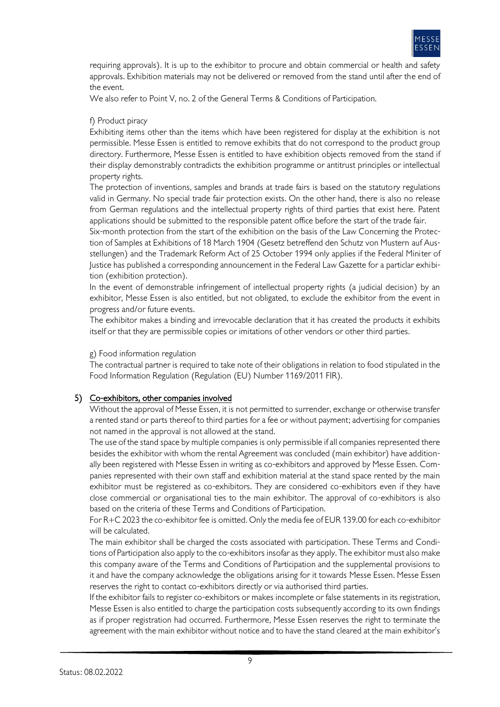

requiring approvals). It is up to the exhibitor to procure and obtain commercial or health and safety approvals. Exhibition materials may not be delivered or removed from the stand until after the end of the event.

We also refer to Point V, no. 2 of the General Terms & Conditions of Participation.

## f) Product piracy

Exhibiting items other than the items which have been registered for display at the exhibition is not permissible. Messe Essen is entitled to remove exhibits that do not correspond to the product group directory. Furthermore, Messe Essen is entitled to have exhibition objects removed from the stand if their display demonstrably contradicts the exhibition programme or antitrust principles or intellectual property rights.

The protection of inventions, samples and brands at trade fairs is based on the statutory regulations valid in Germany. No special trade fair protection exists. On the other hand, there is also no release from German regulations and the intellectual property rights of third parties that exist here. Patent applications should be submitted to the responsible patent office before the start of the trade fair.

Six-month protection from the start of the exhibition on the basis of the Law Concerning the Protection of Samples at Exhibitions of 18 March 1904 (Gesetz betreffend den Schutz von Mustern auf Ausstellungen) and the Trademark Reform Act of 25 October 1994 only applies if the Federal Miniter of Justice has published a corresponding announcement in the Federal Law Gazette for a particlar exhibition (exhibition protection).

In the event of demonstrable infringement of intellectual property rights (a judicial decision) by an exhibitor, Messe Essen is also entitled, but not obligated, to exclude the exhibitor from the event in progress and/or future events.

The exhibitor makes a binding and irrevocable declaration that it has created the products it exhibits itself or that they are permissible copies or imitations of other vendors or other third parties.

### g) Food information regulation

The contractual partner is required to take note of their obligations in relation to food stipulated in the Food Information Regulation (Regulation (EU) Number 1169/2011 FIR).

## 5) Co-exhibitors, other companies involved

Without the approval of Messe Essen, it is not permitted to surrender, exchange or otherwise transfer a rented stand or parts thereof to third parties for a fee or without payment; advertising for companies not named in the approval is not allowed at the stand.

The use of the stand space by multiple companies is only permissible if all companies represented there besides the exhibitor with whom the rental Agreement was concluded (main exhibitor) have additionally been registered with Messe Essen in writing as co-exhibitors and approved by Messe Essen. Companies represented with their own staff and exhibition material at the stand space rented by the main exhibitor must be registered as co-exhibitors. They are considered co-exhibitors even if they have close commercial or organisational ties to the main exhibitor. The approval of co-exhibitors is also based on the criteria of these Terms and Conditions of Participation.

For R+C 2023 the co-exhibitor fee is omitted. Only the media fee of EUR 139.00 for each co-exhibitor will be calculated.

The main exhibitor shall be charged the costs associated with participation. These Terms and Conditions of Participation also apply to the co-exhibitors insofar as they apply. The exhibitor must also make this company aware of the Terms and Conditions of Participation and the supplemental provisions to it and have the company acknowledge the obligations arising for it towards Messe Essen. Messe Essen reserves the right to contact co-exhibitors directly or via authorised third parties.

If the exhibitor fails to register co-exhibitors or makes incomplete or false statements in its registration, Messe Essen is also entitled to charge the participation costs subsequently according to its own findings as if proper registration had occurred. Furthermore, Messe Essen reserves the right to terminate the agreement with the main exhibitor without notice and to have the stand cleared at the main exhibitor's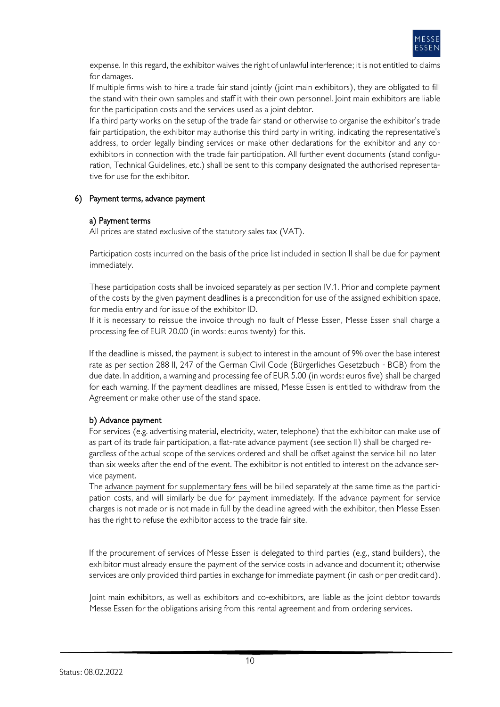

expense. In this regard, the exhibitor waives the right of unlawful interference; it is not entitled to claims for damages.

If multiple firms wish to hire a trade fair stand jointly (joint main exhibitors), they are obligated to fill the stand with their own samples and staff it with their own personnel. Joint main exhibitors are liable for the participation costs and the services used as a joint debtor.

If a third party works on the setup of the trade fair stand or otherwise to organise the exhibitor's trade fair participation, the exhibitor may authorise this third party in writing, indicating the representative's address, to order legally binding services or make other declarations for the exhibitor and any coexhibitors in connection with the trade fair participation. All further event documents (stand configuration, Technical Guidelines, etc.) shall be sent to this company designated the authorised representative for use for the exhibitor.

## 6) Payment terms, advance payment

#### a) Payment terms

All prices are stated exclusive of the statutory sales tax (VAT).

Participation costs incurred on the basis of the price list included in section II shall be due for payment immediately.

These participation costs shall be invoiced separately as per section IV.1. Prior and complete payment of the costs by the given payment deadlines is a precondition for use of the assigned exhibition space, for media entry and for issue of the exhibitor ID.

If it is necessary to reissue the invoice through no fault of Messe Essen, Messe Essen shall charge a processing fee of EUR 20.00 (in words: euros twenty) for this.

If the deadline is missed, the payment is subject to interest in the amount of 9% over the base interest rate as per section 288 II, 247 of the German Civil Code (Bürgerliches Gesetzbuch - BGB) from the due date. In addition, a warning and processing fee of EUR 5.00 (in words: euros five) shall be charged for each warning. If the payment deadlines are missed, Messe Essen is entitled to withdraw from the Agreement or make other use of the stand space.

## b) Advance payment

For services (e.g. advertising material, electricity, water, telephone) that the exhibitor can make use of as part of its trade fair participation, a flat-rate advance payment (see section II) shall be charged regardless of the actual scope of the services ordered and shall be offset against the service bill no later than six weeks after the end of the event. The exhibitor is not entitled to interest on the advance service payment.

The advance payment for supplementary fees will be billed separately at the same time as the participation costs, and will similarly be due for payment immediately. If the advance payment for service charges is not made or is not made in full by the deadline agreed with the exhibitor, then Messe Essen has the right to refuse the exhibitor access to the trade fair site.

If the procurement of services of Messe Essen is delegated to third parties (e.g., stand builders), the exhibitor must already ensure the payment of the service costs in advance and document it; otherwise services are only provided third parties in exchange for immediate payment (in cash or per credit card).

Joint main exhibitors, as well as exhibitors and co-exhibitors, are liable as the joint debtor towards Messe Essen for the obligations arising from this rental agreement and from ordering services.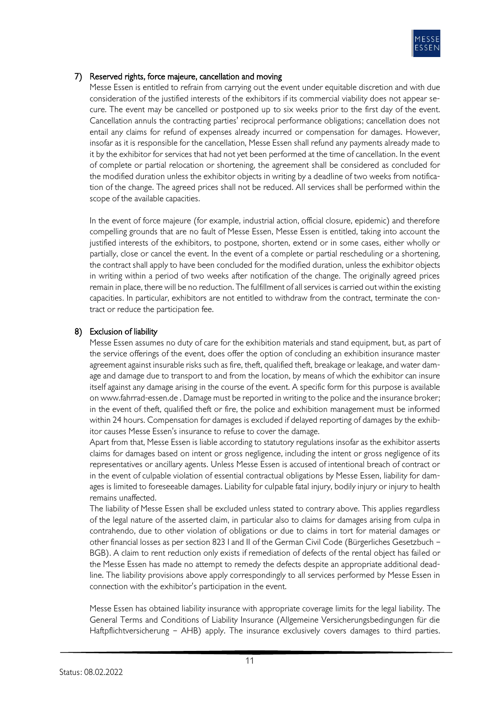

## 7) Reserved rights, force majeure, cancellation and moving

Messe Essen is entitled to refrain from carrying out the event under equitable discretion and with due consideration of the justified interests of the exhibitors if its commercial viability does not appear secure. The event may be cancelled or postponed up to six weeks prior to the first day of the event. Cancellation annuls the contracting parties' reciprocal performance obligations; cancellation does not entail any claims for refund of expenses already incurred or compensation for damages. However, insofar as it is responsible for the cancellation, Messe Essen shall refund any payments already made to it by the exhibitor for services that had not yet been performed at the time of cancellation. In the event of complete or partial relocation or shortening, the agreement shall be considered as concluded for the modified duration unless the exhibitor objects in writing by a deadline of two weeks from notification of the change. The agreed prices shall not be reduced. All services shall be performed within the scope of the available capacities.

In the event of force majeure (for example, industrial action, official closure, epidemic) and therefore compelling grounds that are no fault of Messe Essen, Messe Essen is entitled, taking into account the justified interests of the exhibitors, to postpone, shorten, extend or in some cases, either wholly or partially, close or cancel the event. In the event of a complete or partial rescheduling or a shortening, the contract shall apply to have been concluded for the modified duration, unless the exhibitor objects in writing within a period of two weeks after notification of the change. The originally agreed prices remain in place, there will be no reduction. The fulfillment of all services is carried out within the existing capacities. In particular, exhibitors are not entitled to withdraw from the contract, terminate the contract or reduce the participation fee.

## 8) Exclusion of liability

Messe Essen assumes no duty of care for the exhibition materials and stand equipment, but, as part of the service offerings of the event, does offer the option of concluding an exhibition insurance master agreement against insurable risks such as fire, theft, qualified theft, breakage or leakage, and water damage and damage due to transport to and from the location, by means of which the exhibitor can insure itself against any damage arising in the course of the event. A specific form for this purpose is available on www.fahrrad-essen.de . Damage must be reported in writing to the police and the insurance broker; in the event of theft, qualified theft or fire, the police and exhibition management must be informed within 24 hours. Compensation for damages is excluded if delayed reporting of damages by the exhibitor causes Messe Essen's insurance to refuse to cover the damage.

Apart from that, Messe Essen is liable according to statutory regulations insofar as the exhibitor asserts claims for damages based on intent or gross negligence, including the intent or gross negligence of its representatives or ancillary agents. Unless Messe Essen is accused of intentional breach of contract or in the event of culpable violation of essential contractual obligations by Messe Essen, liability for damages is limited to foreseeable damages. Liability for culpable fatal injury, bodily injury or injury to health remains unaffected.

The liability of Messe Essen shall be excluded unless stated to contrary above. This applies regardless of the legal nature of the asserted claim, in particular also to claims for damages arising from culpa in contrahendo, due to other violation of obligations or due to claims in tort for material damages or other financial losses as per section 823 I and II of the German Civil Code (Bürgerliches Gesetzbuch – BGB). A claim to rent reduction only exists if remediation of defects of the rental object has failed or the Messe Essen has made no attempt to remedy the defects despite an appropriate additional deadline. The liability provisions above apply correspondingly to all services performed by Messe Essen in connection with the exhibitor's participation in the event.

Messe Essen has obtained liability insurance with appropriate coverage limits for the legal liability. The General Terms and Conditions of Liability Insurance (Allgemeine Versicherungsbedingungen für die Haftpflichtversicherung – AHB) apply. The insurance exclusively covers damages to third parties.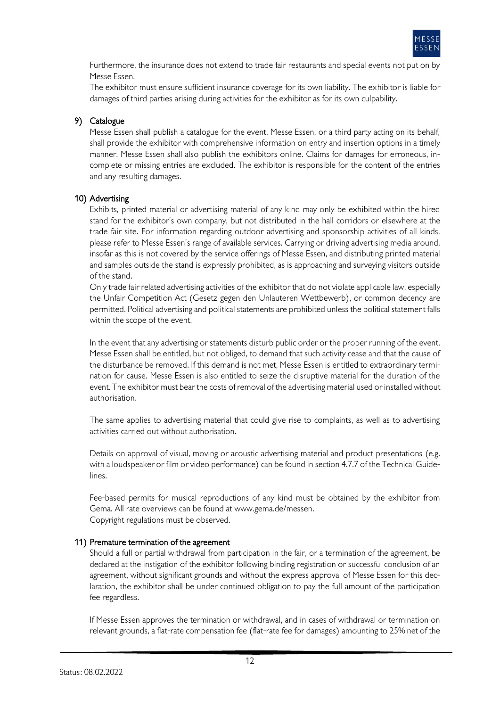

Furthermore, the insurance does not extend to trade fair restaurants and special events not put on by Messe Essen.

The exhibitor must ensure sufficient insurance coverage for its own liability. The exhibitor is liable for damages of third parties arising during activities for the exhibitor as for its own culpability.

## 9) Catalogue

Messe Essen shall publish a catalogue for the event. Messe Essen, or a third party acting on its behalf, shall provide the exhibitor with comprehensive information on entry and insertion options in a timely manner. Messe Essen shall also publish the exhibitors online. Claims for damages for erroneous, incomplete or missing entries are excluded. The exhibitor is responsible for the content of the entries and any resulting damages.

## 10) Advertising

Exhibits, printed material or advertising material of any kind may only be exhibited within the hired stand for the exhibitor's own company, but not distributed in the hall corridors or elsewhere at the trade fair site. For information regarding outdoor advertising and sponsorship activities of all kinds, please refer to Messe Essen's range of available services. Carrying or driving advertising media around, insofar as this is not covered by the service offerings of Messe Essen, and distributing printed material and samples outside the stand is expressly prohibited, as is approaching and surveying visitors outside of the stand.

Only trade fair related advertising activities of the exhibitor that do not violate applicable law, especially the Unfair Competition Act (Gesetz gegen den Unlauteren Wettbewerb), or common decency are permitted. Political advertising and political statements are prohibited unless the political statement falls within the scope of the event.

In the event that any advertising or statements disturb public order or the proper running of the event, Messe Essen shall be entitled, but not obliged, to demand that such activity cease and that the cause of the disturbance be removed. If this demand is not met, Messe Essen is entitled to extraordinary termination for cause. Messe Essen is also entitled to seize the disruptive material for the duration of the event. The exhibitor must bear the costs of removal of the advertising material used or installed without authorisation.

The same applies to advertising material that could give rise to complaints, as well as to advertising activities carried out without authorisation.

Details on approval of visual, moving or acoustic advertising material and product presentations (e.g. with a loudspeaker or film or video performance) can be found in section 4.7.7 of the Technical Guidelines.

Fee-based permits for musical reproductions of any kind must be obtained by the exhibitor from Gema. All rate overviews can be found at [www.gema.de/messen.](http://www.gema.de/messen) Copyright regulations must be observed.

## 11) Premature termination of the agreement

Should a full or partial withdrawal from participation in the fair, or a termination of the agreement, be declared at the instigation of the exhibitor following binding registration or successful conclusion of an agreement, without significant grounds and without the express approval of Messe Essen for this declaration, the exhibitor shall be under continued obligation to pay the full amount of the participation fee regardless.

If Messe Essen approves the termination or withdrawal, and in cases of withdrawal or termination on relevant grounds, a flat-rate compensation fee (flat-rate fee for damages) amounting to 25% net of the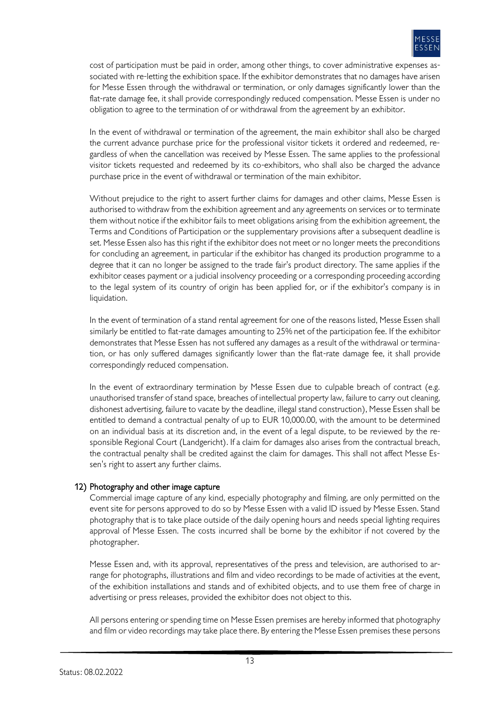

cost of participation must be paid in order, among other things, to cover administrative expenses associated with re-letting the exhibition space. If the exhibitor demonstrates that no damages have arisen for Messe Essen through the withdrawal or termination, or only damages significantly lower than the flat-rate damage fee, it shall provide correspondingly reduced compensation. Messe Essen is under no obligation to agree to the termination of or withdrawal from the agreement by an exhibitor.

In the event of withdrawal or termination of the agreement, the main exhibitor shall also be charged the current advance purchase price for the professional visitor tickets it ordered and redeemed, regardless of when the cancellation was received by Messe Essen. The same applies to the professional visitor tickets requested and redeemed by its co-exhibitors, who shall also be charged the advance purchase price in the event of withdrawal or termination of the main exhibitor.

Without prejudice to the right to assert further claims for damages and other claims, Messe Essen is authorised to withdraw from the exhibition agreement and any agreements on services or to terminate them without notice if the exhibitor fails to meet obligations arising from the exhibition agreement, the Terms and Conditions of Participation or the supplementary provisions after a subsequent deadline is set. Messe Essen also has this right if the exhibitor does not meet or no longer meets the preconditions for concluding an agreement, in particular if the exhibitor has changed its production programme to a degree that it can no longer be assigned to the trade fair's product directory. The same applies if the exhibitor ceases payment or a judicial insolvency proceeding or a corresponding proceeding according to the legal system of its country of origin has been applied for, or if the exhibitor's company is in liquidation.

In the event of termination of a stand rental agreement for one of the reasons listed, Messe Essen shall similarly be entitled to flat-rate damages amounting to 25% net of the participation fee. If the exhibitor demonstrates that Messe Essen has not suffered any damages as a result of the withdrawal or termination, or has only suffered damages significantly lower than the flat-rate damage fee, it shall provide correspondingly reduced compensation.

In the event of extraordinary termination by Messe Essen due to culpable breach of contract (e.g. unauthorised transfer of stand space, breaches of intellectual property law, failure to carry out cleaning, dishonest advertising, failure to vacate by the deadline, illegal stand construction), Messe Essen shall be entitled to demand a contractual penalty of up to EUR 10,000.00, with the amount to be determined on an individual basis at its discretion and, in the event of a legal dispute, to be reviewed by the responsible Regional Court (Landgericht). If a claim for damages also arises from the contractual breach, the contractual penalty shall be credited against the claim for damages. This shall not affect Messe Essen's right to assert any further claims.

## 12) Photography and other image capture

Commercial image capture of any kind, especially photography and filming, are only permitted on the event site for persons approved to do so by Messe Essen with a valid ID issued by Messe Essen. Stand photography that is to take place outside of the daily opening hours and needs special lighting requires approval of Messe Essen. The costs incurred shall be borne by the exhibitor if not covered by the photographer.

Messe Essen and, with its approval, representatives of the press and television, are authorised to arrange for photographs, illustrations and film and video recordings to be made of activities at the event, of the exhibition installations and stands and of exhibited objects, and to use them free of charge in advertising or press releases, provided the exhibitor does not object to this.

All persons entering or spending time on Messe Essen premises are hereby informed that photography and film or video recordings may take place there. By entering the Messe Essen premises these persons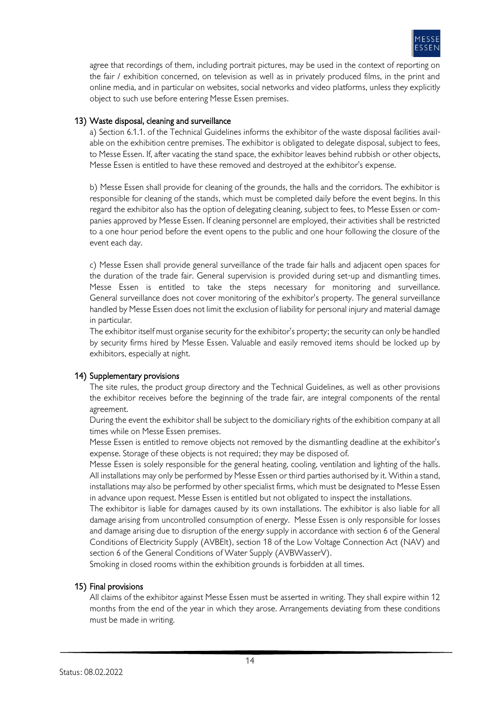

agree that recordings of them, including portrait pictures, may be used in the context of reporting on the fair / exhibition concerned, on television as well as in privately produced films, in the print and online media, and in particular on websites, social networks and video platforms, unless they explicitly object to such use before entering Messe Essen premises.

## 13) Waste disposal, cleaning and surveillance

a) Section 6.1.1. of the Technical Guidelines informs the exhibitor of the waste disposal facilities available on the exhibition centre premises. The exhibitor is obligated to delegate disposal, subject to fees, to Messe Essen. If, after vacating the stand space, the exhibitor leaves behind rubbish or other objects, Messe Essen is entitled to have these removed and destroyed at the exhibitor's expense.

b) Messe Essen shall provide for cleaning of the grounds, the halls and the corridors. The exhibitor is responsible for cleaning of the stands, which must be completed daily before the event begins. In this regard the exhibitor also has the option of delegating cleaning, subject to fees, to Messe Essen or companies approved by Messe Essen. If cleaning personnel are employed, their activities shall be restricted to a one hour period before the event opens to the public and one hour following the closure of the event each day.

c) Messe Essen shall provide general surveillance of the trade fair halls and adjacent open spaces for the duration of the trade fair. General supervision is provided during set-up and dismantling times. Messe Essen is entitled to take the steps necessary for monitoring and surveillance. General surveillance does not cover monitoring of the exhibitor's property. The general surveillance handled by Messe Essen does not limit the exclusion of liability for personal injury and material damage in particular.

The exhibitor itself must organise security for the exhibitor's property; the security can only be handled by security firms hired by Messe Essen. Valuable and easily removed items should be locked up by exhibitors, especially at night.

## 14) Supplementary provisions

The site rules, the product group directory and the Technical Guidelines, as well as other provisions the exhibitor receives before the beginning of the trade fair, are integral components of the rental agreement.

During the event the exhibitor shall be subject to the domiciliary rights of the exhibition company at all times while on Messe Essen premises.

Messe Essen is entitled to remove objects not removed by the dismantling deadline at the exhibitor's expense. Storage of these objects is not required; they may be disposed of.

Messe Essen is solely responsible for the general heating, cooling, ventilation and lighting of the halls. All installations may only be performed by Messe Essen or third parties authorised by it. Within a stand, installations may also be performed by other specialist firms, which must be designated to Messe Essen in advance upon request. Messe Essen is entitled but not obligated to inspect the installations.

The exhibitor is liable for damages caused by its own installations. The exhibitor is also liable for all damage arising from uncontrolled consumption of energy. Messe Essen is only responsible for losses and damage arising due to disruption of the energy supply in accordance with section 6 of the General Conditions of Electricity Supply (AVBElt), section 18 of the Low Voltage Connection Act (NAV) and section 6 of the General Conditions of Water Supply (AVBWasserV).

Smoking in closed rooms within the exhibition grounds is forbidden at all times.

## 15) Final provisions

All claims of the exhibitor against Messe Essen must be asserted in writing. They shall expire within 12 months from the end of the year in which they arose. Arrangements deviating from these conditions must be made in writing.